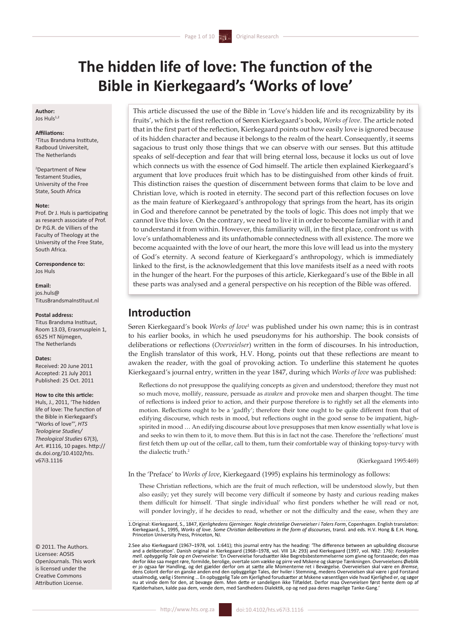# **The hidden life of love: The function of the Bible in Kierkegaard's 'Works of love'**

#### **Author:** Jos Huls $1,2$

#### **Affiliations:**

1 Titus Brandsma Institute, Radboud Universiteit, The Netherlands

2 Department of New Testament Studies, University of the Free State, South Africa

#### **Note:**

Prof. Dr J. Huls is participating as research associate of Prof. Dr P.G.R. de Villiers of the Faculty of Theology at the University of the Free State, South Africa.

**Correspondence to:** Jos Huls

**Email:** jos.huls@ TitusBrandsmaInstituut.nl

#### **Postal address:**

Titus Brandsma Instituut, Room 13.03, Erasmusplein 1, 6525 HT Nijmegen, The Netherlands

#### **Dates:**

Received: 20 June 2011 Accepted: 21 July 2011 Published: 25 Oct. 2011

#### **How to cite this article:**

Huls, J., 2011, 'The hidden life of love: The function of the Bible in Kierkegaard's "Works of love"', *HTS Teologiese Studies/ Theological Studies* 67(3), Art. #1116, 10 pages. http:// dx.doi.org/10.4102/hts. v67i3.1116

© 2011. The Authors. Licensee: AOSIS OpenJournals. This work is licensed under the Creative Commons Attribution License.

This article discussed the use of the Bible in 'Love's hidden life and its recognizability by its fruits', which is the first reflection of Søren Kierkegaard's book, *Works of love*. The article noted that in the first part of the reflection, Kierkegaard points out how easily love is ignored because of its hidden character and because it belongs to the realm of the heart. Consequently, it seems sagacious to trust only those things that we can observe with our senses. But this attitude speaks of self-deception and fear that will bring eternal loss, because it locks us out of love which connects us with the essence of God himself. The article then explained Kierkegaard's argument that love produces fruit which has to be distinguished from other kinds of fruit. This distinction raises the question of discernment between forms that claim to be love and Christian love, which is rooted in eternity. The second part of this reflection focuses on love as the main feature of Kierkegaard's anthropology that springs from the heart, has its origin in God and therefore cannot be penetrated by the tools of logic. This does not imply that we cannot live this love. On the contrary, we need to live it in order to become familiar with it and to understand it from within. However, this familiarity will, in the first place, confront us with love's unfathomableness and its unfathomable connectedness with all existence. The more we become acquainted with the love of our heart, the more this love will lead us into the mystery of God's eternity. A second feature of Kierkegaard's anthropology, which is immediately linked to the first, is the acknowledgement that this love manifests itself as a need with roots in the hunger of the heart. For the purposes of this article, Kierkegaard's use of the Bible in all these parts was analysed and a general perspective on his reception of the Bible was offered.

# **Introduction**

Søren Kierkegaard's book *Works of love*<sup>1</sup> was published under his own name; this is in contrast to his earlier books, in which he used pseudonyms for his authorship. The book consists of deliberations or reflections (*Overveielser*) written in the form of discourses. In his introduction, the English translator of this work, H.V. Hong, points out that these reflections are meant to awaken the reader, with the goal of provoking action. To underline this statement he quotes Kierkegaard's journal entry, written in the year 1847, during which *Works of love* was published:

Reflections do not presuppose the qualifying concepts as given and understood; therefore they must not so much move, mollify, reassure, persuade as *awaken* and provoke men and sharpen thought. The time of reflections is indeed prior to action, and their purpose therefore is to rightly set all the elements into motion. Reflections ought to be a 'gadfly'; therefore their tone ought to be quite different from that of edifying discourse, which rests in mood, but reflections ought in the good sense to be impatient, highspirited in mood … An edifying discourse about love presupposes that men know essentially what love is and seeks to win them to it, to move them. But this is in fact not the case. Therefore the 'reflections' must first fetch them up out of the cellar, call to them, turn their comfortable way of thinking topsy-turvy with the dialectic truth.2

(Kierkegaard 1995:469)

#### In the 'Preface' to *Works of love*, Kierkegaard (1995) explains his terminology as follows:

These Christian reflections, which are the fruit of much reflection, will be understood slowly, but then also easily; yet they surely will become very difficult if someone by hasty and curious reading makes them difficult for himself. 'That single individual' who first ponders whether he will read or not, will ponder lovingly, if he decides to read, whether or not the difficulty and the ease, when they are

1. Original: Kierkegaard, S., 1847, Kjerlighedens Gjerninger. Nogle christelige Overveielser i Talers Form, Copenhagen. English translation:<br>Kierkegaard, S., 1995, Works of love. Some Christian deliberations in the form of Princeton University Press, Princeton, NJ.

2*.*See also Kierkegaard (1967–1978, vol. 1:641); this journal entry has the heading: 'The difference between an upbuilding discourse and a deliberation'. Danish original in Kierkegaard (1968–1978, vol. VIII 1A: 293) and Kierkegaard (1997, vol. NB2: 176): *Forskjellen mell. opbyggelig Tale og en Overveielse: '*En Overveielse forudsætter ikke Begrebsbestemmelserne som givne og forstaaede; den maa<br>derfor ikke saa meget røre, formilde, berolige, overtale som vække og pirre ved Mskene og s er jo ogsaa før Handling, og det gjælder derfor om at sætte alle Momenterne ret i Bevægelse. Overveielsen skal være en *Bremse,*<br>dens Colorit derfor en ganske anden end den opbyggelige Tales, der hviler i Stemning, medens utaalmodig, vælig i Stemning … En opbyggelig Tale om Kjerlighed forudsætter at Mskene væsentligen vide hvad Kjerlighed er, og søger nu at vinde dem for den, at bevæge dem. Men dette er sandeligen ikke Tilfældet. Derfor maa Overveielsen først hente dem op af<br>Kjælderhalsen, kalde paa dem, vende dem, med Sandhedens Dialektik, op og ned paa deres magelige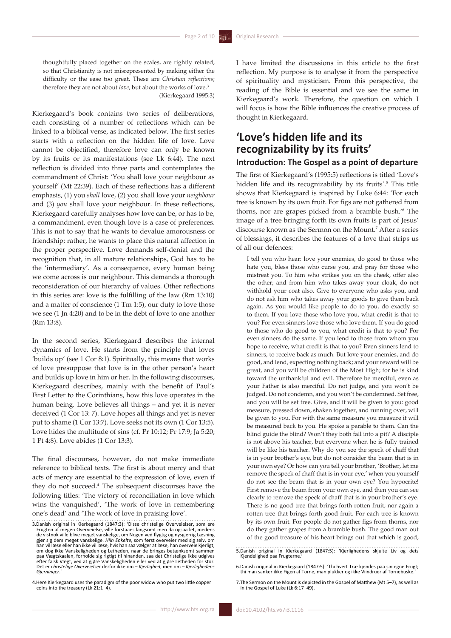thoughtfully placed together on the scales, are rightly related, so that Christianity is not misrepresented by making either the difficulty or the ease too great. These are *Christian reflections*; therefore they are not about *love*, but about the works of love.<sup>3</sup> (Kierkegaard 1995:3)

Kierkegaard's book contains two series of deliberations, each consisting of a number of reflections which can be linked to a biblical verse, as indicated below. The first series starts with a reflection on the hidden life of love. Love cannot be objectified, therefore love can only be known by its fruits or its manifestations (see Lk 6:44). The next reflection is divided into three parts and contemplates the commandment of Christ: 'You shall love your neighbour as yourself' (Mt 22:39). Each of these reflections has a different emphasis, (1) you *shall* love, (2) you shall love your *neighbour*  and (3) *you* shall love your neighbour. In these reflections, Kierkegaard carefully analyses how love can be, or has to be, a commandment, even though love is a case of preferences. This is not to say that he wants to devalue amorousness or friendship; rather, he wants to place this natural affection in the proper perspective. Love demands self-denial and the recognition that, in all mature relationships, God has to be the 'intermediary'. As a consequence, every human being we come across is our neighbour. This demands a thorough reconsideration of our hierarchy of values. Other reflections in this series are: love is the fulfilling of the law (Rm 13:10) and a matter of conscience (1 Tm 1:5), our duty to love those we see (1 Jn 4:20) and to be in the debt of love to one another (Rm 13:8).

In the second series, Kierkegaard describes the internal dynamics of love. He starts from the principle that loves 'builds up' (see 1 Cor 8:1). Spiritually, this means that works of love presuppose that love is in the other person's heart and builds up love in him or her. In the following discourses, Kierkegaard describes, mainly with the benefit of Paul's First Letter to the Corinthians, how this love operates in the human being. Love believes all things – and yet it is never deceived (1 Cor 13: 7). Love hopes all things and yet is never put to shame (1 Cor 13:7). Love seeks not its own (1 Cor 13:5). Love hides the multitude of sins (cf. Pr 10:12; Pr 17:9; Ja 5:20; 1 Pt 4:8). Love abides (1 Cor 13:3).

The final discourses, however, do not make immediate reference to biblical texts. The first is about mercy and that acts of mercy are essential to the expression of love, even if they do not succeed.4 The subsequent discourses have the following titles: 'The victory of reconciliation in love which wins the vanquished', 'The work of love in remembering one's dead' and 'The work of love in praising love'.

4.Here Kierkegaard uses the paradigm of the poor widow who put two little copper coins into the treasury (Lk 21:1–4).

I have limited the discussions in this article to the first reflection. My purpose is to analyse it from the perspective of spirituality and mysticism. From this perspective, the reading of the Bible is essential and we see the same in Kierkegaard's work. Therefore, the question on which I will focus is how the Bible influences the creative process of thought in Kierkegaard.

# **'Love's hidden life and its recognizability by its fruits' Introduction: The Gospel as a point of departure**

The first of Kierkegaard's (1995:5) reflections is titled 'Love's hidden life and its recognizability by its fruits'.<sup>5</sup> This title shows that Kierkegaard is inspired by Luke 6:44: 'For each tree is known by its own fruit. For figs are not gathered from thorns, nor are grapes picked from a bramble bush.'6 The image of a tree bringing forth its own fruits is part of Jesus' discourse known as the Sermon on the Mount.7 After a series of blessings, it describes the features of a love that strips us of all our defences:

I tell you who hear: love your enemies, do good to those who hate you, bless those who curse you, and pray for those who mistreat you. To him who strikes you on the cheek, offer also the other; and from him who takes away your cloak, do not withhold your coat also. Give to everyone who asks you, and do not ask him who takes away your goods to give them back again. As you would like people to do to you, do exactly so to them. If you love those who love you, what credit is that to you? For even sinners love those who love them. If you do good to those who do good to you, what credit is that to you? For even sinners do the same. If you lend to those from whom you hope to receive, what credit is that to you? Even sinners lend to sinners, to receive back as much. But love your enemies, and do good, and lend, expecting nothing back; and your reward will be great, and you will be children of the Most High; for he is kind toward the unthankful and evil. Therefore be merciful, even as your Father is also merciful. Do not judge, and you won't be judged. Do not condemn, and you won't be condemned. Set free, and you will be set free. Give, and it will be given to you: good measure, pressed down, shaken together, and running over, will be given to you. For with the same measure you measure it will be measured back to you. He spoke a parable to them. Can the blind guide the blind? Won't they both fall into a pit? A disciple is not above his teacher, but everyone when he is fully trained will be like his teacher. Why do you see the speck of chaff that is in your brother's eye, but do not consider the beam that is in your own eye? Or how can you tell your brother, 'Brother, let me remove the speck of chaff that is in your eye,' when you yourself do not see the beam that is in your own eye? You hypocrite! First remove the beam from your own eye, and then you can see clearly to remove the speck of chaff that is in your brother's eye. There is no good tree that brings forth rotten fruit; nor again a rotten tree that brings forth good fruit. For each tree is known by its own fruit. For people do not gather figs from thorns, nor do they gather grapes from a bramble bush. The good man out of the good treasure of his heart brings out that which is good,

5.Danish original in Kierkegaard (1847:5): 'Kjerlighedens skjulte Liv og dets Kjendelighed paa Frugterne.'

6.Danish original in Kierkegaard (1847:5): 'Thi hvert Træ kjendes paa sin egne Frugt; thi man sanker ikke Figen af Torne, man plukker og ikke Viindruer af Tornebuske.'

7.The Sermon on the Mount is depicted in the Gospel of Matthew (Mt 5–7), as well as in the Gospel of Luke (Lk 6:17–49).

<sup>3.</sup>Danish original in Kierkegaard (1847:3): 'Disse christelige Overveielser, som ere Frugten af megen Overveielse, ville forstaaes langsomt men da ogsaa let, medens de vistnok ville blive meget vanskelige, om Nogen ved flygtig og nysgjerrig Læsning<br>gjør sig dem meget vanskelige. *Hiin Enkelte,* som først overveier med sig selv, om<br>han vil læse eller han ikke vil læse, hvis han saa væl om dog ikke Vanskeligheden og Letheden, naar de bringes betænksomt sammen paa Vægtskaalen, forholde sig rigtigt til hinanden, saa det Christelige ikke udgives efter falsk Vægt, ved at gjøre Vanskeligheden eller ved at gjøre Letheden for stor. Det er *christelige Overveielser* derfor ikke om – *Kjerlighed*, men om – *Kjerlighedens Gjerninger*.'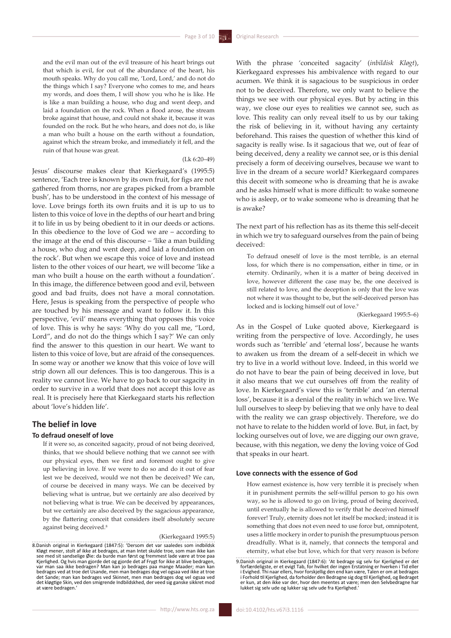and the evil man out of the evil treasure of his heart brings out that which is evil, for out of the abundance of the heart, his mouth speaks. Why do you call me, 'Lord, Lord,' and do not do the things which I say? Everyone who comes to me, and hears my words, and does them, I will show you who he is like. He is like a man building a house, who dug and went deep, and laid a foundation on the rock. When a flood arose, the stream broke against that house, and could not shake it, because it was founded on the rock. But he who hears, and does not do, is like a man who built a house on the earth without a foundation, against which the stream broke, and immediately it fell, and the ruin of that house was great.

#### (Lk 6:20–49)

Jesus' discourse makes clear that Kierkegaard's (1995:5) sentence, 'Each tree is known by its own fruit, for figs are not gathered from thorns, nor are grapes picked from a bramble bush'*,* has to be understood in the context of his message of love. Love brings forth its own fruits and it is up to us to listen to this voice of love in the depths of our heart and bring it to life in us by being obedient to it in our deeds or actions. In this obedience to the love of God we are – according to the image at the end of this discourse – 'like a man building a house, who dug and went deep, and laid a foundation on the rock'. But when we escape this voice of love and instead listen to the other voices of our heart, we will become 'like a man who built a house on the earth without a foundation'. In this image, the difference between good and evil, between good and bad fruits, does not have a moral connotation. Here, Jesus is speaking from the perspective of people who are touched by his message and want to follow it. In this perspective, 'evil' means everything that opposes this voice of love. This is why he says: 'Why do you call me, "Lord, Lord", and do not do the things which I say?' We can only find the answer to this question in our heart. We want to listen to this voice of love, but are afraid of the consequences. In some way or another we know that this voice of love will strip down all our defences. This is too dangerous. This is a reality we cannot live. We have to go back to our sagacity in order to survive in a world that does not accept this love as real. It is precisely here that Kierkegaard starts his reflection about 'love's hidden life'.

#### **The belief in love**

#### **To defraud oneself of love**

If it were so, as conceited sagacity, proud of not being deceived, thinks, that we should believe nothing that we cannot see with our physical eyes, then we first and foremost ought to give up believing in love. If we were to do so and do it out of fear lest we be deceived, would we not then be deceived? We can, of course be deceived in many ways. We can be deceived by believing what is untrue, but we certainly are also deceived by not believing what is true. We can be deceived by appearances, but we certainly are also deceived by the sagacious appearance, by the flattering conceit that considers itself absolutely secure against being deceived.8

#### (Kierkegaard 1995:5)

8.Danish original in Kierkegaard (1847:5): 'Dersom det var saaledes som indbildsk<br>Kløgt mener, stolt af ikke at bedrages, at man Intet skulde troe, som man ikke kan<br>see med sit sandselige Øie: da burde man først og fremmes var man saa ikke bedragen? Man kan jo bedrages paa mange Maader; man kan<br>bedrages ved at troe det Usande, men man bedrages dog vel ogsaa ved ikke at troe<br>det Sande; man kan bedrages ved Skinnet, men man bedrages dog vel og det kløgtige Skin, ved den smigrende Indbildskhed, der veed sig ganske sikkret mod at være bedragen.'

With the phrase 'conceited sagacity' (*inbildisk Kløgt*), Kierkegaard expresses his ambivalence with regard to our acumen. We think it is sagacious to be suspicious in order not to be deceived. Therefore, we only want to believe the things we see with our physical eyes. But by acting in this way, we close our eyes to realities we cannot see, such as love. This reality can only reveal itself to us by our taking the risk of believing in it, without having any certainty beforehand. This raises the question of whether this kind of sagacity is really wise. Is it sagacious that we, out of fear of being deceived, deny a reality we cannot see, or is this denial precisely a form of deceiving ourselves, because we want to live in the dream of a secure world? Kierkegaard compares this deceit with someone who is dreaming that he is awake and he asks himself what is more difficult: to wake someone who is asleep, or to wake someone who is dreaming that he is awake?

The next part of his reflection has as its theme this self-deceit in which we try to safeguard ourselves from the pain of being deceived:

To defraud oneself of love is the most terrible, is an eternal loss, for which there is no compensation, either in time, or in eternity. Ordinarily, when it is a matter of being deceived in love, however different the case may be, the one deceived is still related to love, and the deception is only that the love was not where it was thought to be, but the self-deceived person has locked and is locking himself out of love.<sup>9</sup>

#### (Kierkegaard 1995:5–6)

As in the Gospel of Luke quoted above, Kierkegaard is writing from the perspective of love. Accordingly, he uses words such as 'terrible' and 'eternal loss', because he wants to awaken us from the dream of a self-deceit in which we try to live in a world without love. Indeed, in this world we do not have to bear the pain of being deceived in love, but it also means that we cut ourselves off from the reality of love. In Kierkegaard's view this is 'terrible' and 'an eternal loss', because it is a denial of the reality in which we live. We lull ourselves to sleep by believing that we only have to deal with the reality we can grasp objectively. Therefore, we do not have to relate to the hidden world of love. But, in fact, by locking ourselves out of love, we are digging our own grave, because, with this negation, we deny the loving voice of God that speaks in our heart.

#### **Love connects with the essence of God**

How earnest existence is, how very terrible it is precisely when it in punishment permits the self-willful person to go his own way, so he is allowed to go on living, proud of being deceived, until eventually he is allowed to verify that he deceived himself forever! Truly, eternity does not let itself be mocked; instead it is something that does not even need to use force but, omnipotent, uses a little mockery in order to punish the presumptuous person dreadfully. What is it, namely, that connects the temporal and eternity, what else but love, which for that very reason is before

<sup>9.</sup>Danish original in Kierkegaard (1847:6): 'At bedrage sig selv for Kjerlighed er det forfærdeligste, er et evigt Tab, for hvilket der ingen Erstatning er hverken i Tid eller i Evighed. Thi naar ellers, hvor forskjellig den end kan være, Talen er om at bedrages i Forhold til Kjerlighed, da forholder den Bedragne sig dog til Kjerlighed, og Bedraget er kun, at den ikke var der, hvor den meentes at være; men den Selvbedragne har lukket sig selv ude og lukker sig selv ude fra Kjerlighed.'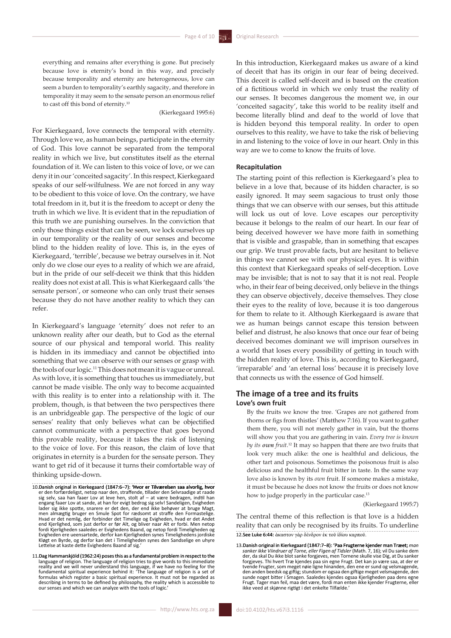everything and remains after everything is gone. But precisely because love is eternity's bond in this way, and precisely because temporality and eternity are heterogeneous, love can seem a burden to temporality's earthly sagacity, and therefore in temporality it may seem to the sensate person an enormous relief to cast off this bond of eternity.10

(Kierkegaard 1995:6)

For Kierkegaard, love connects the temporal with eternity. Through love we, as human beings, participate in the eternity of God. This love cannot be separated from the temporal reality in which we live, but constitutes itself as the eternal foundation of it. We can listen to this voice of love, or we can deny it in our 'conceited sagacity'. In this respect, Kierkegaard speaks of our self-wilfulness. We are not forced in any way to be obedient to this voice of love. On the contrary, we have total freedom in it, but it is the freedom to accept or deny the truth in which we live. It is evident that in the repudiation of this truth we are punishing ourselves. In the conviction that only those things exist that can be seen, we lock ourselves up in our temporality or the reality of our senses and become blind to the hidden reality of love. This is, in the eyes of Kierkegaard, 'terrible', because we betray ourselves in it. Not only do we close our eyes to a reality of which we are afraid, but in the pride of our self-deceit we think that this hidden reality does not exist at all. This is what Kierkegaard calls 'the sensate person', or someone who can only trust their senses because they do not have another reality to which they can refer.

In Kierkegaard's language 'eternity' does not refer to an unknown reality after our death, but to God as the eternal source of our physical and temporal world. This reality is hidden in its immediacy and cannot be objectified into something that we can observe with our senses or grasp with the tools of our logic.11 This does not mean it is vague or unreal. As with love, it is something that touches us immediately, but cannot be made visible. The only way to become acquainted with this reality is to enter into a relationship with it. The problem, though, is that between the two perspectives there is an unbridgeable gap. The perspective of the logic of our senses' reality that only believes what can be objectified cannot communicate with a perspective that goes beyond this provable reality, because it takes the risk of listening to the voice of love. For this reason, the claim of love that originates in eternity is a burden for the sensate person. They want to get rid of it because it turns their comfortable way of thinking upside-down.

- .Danish original in Kierkegaard (1847:6–7): 'Hvor er Tilværelsen saa alvorlig, hvor<br>er den forfærdeligst, netop naar den, straffende, tillader den Selvraadige at raade<br>sig selv, saa han faaer Lov at leve hen, stolt af at engang faaer Lov at sande, at han for evigt bedrog sig selv! Sandeligen, Evigheden lader sig ikke spotte, snarere er det den, der end ikke behøver at bruge Magt, men almægtig bruger en Smule Spot for rædsomt at straffe den Formastelige. Hvad er det nemlig, der forbinder det Timelige og Evigheden, hvad er det Andet end Kjerlighed, som just derfor er før Alt, og bliver naar Alt er forbi. Men netop fordi Kjerligheden saaledes er Evighedens Baand, og netop fordi Timeligheden og Evigheden ere ueensartede, derfor kan Kjerligheden synes Timelighedens jordiske<br>Kløgt en Byrde, og derfor kan det i Timeligheden synes den Sandselige en uhyre<br>Lettelse at kaste dette Evighedens Baand af sig.'
- Dag Hammarskjöld (1962:24) poses this as a fundamental problem in respect to the<br>language of religion. The language of religion tries to give words to this immediate reality and we will never understand this language, if we have no feeling for the<br>fundamental spiritual experience behind it: "The language of religion is a set of<br>formulas which register a basic spiritual experience. It m describing in terms to be defined by philosophy, the reality which is accessible to our senses and which we can analyze with the tools of logic.'

In this introduction, Kierkegaard makes us aware of a kind of deceit that has its origin in our fear of being deceived. This deceit is called self-deceit and is based on the creation of a fictitious world in which we only trust the reality of our senses. It becomes dangerous the moment we, in our 'conceited sagacity', take this world to be reality itself and become literally blind and deaf to the world of love that is hidden beyond this temporal reality. In order to open ourselves to this reality, we have to take the risk of believing in and listening to the voice of love in our heart. Only in this way are we to come to know the fruits of love.

#### **Recapitulation**

The starting point of this reflection is Kierkegaard's plea to believe in a love that, because of its hidden character, is so easily ignored. It may seem sagacious to trust only those things that we can observe with our senses, but this attitude will lock us out of love. Love escapes our perceptivity because it belongs to the realm of our heart. In our fear of being deceived however we have more faith in something that is visible and graspable, than in something that escapes our grip. We trust provable facts, but are hesitant to believe in things we cannot see with our physical eyes. It is within this context that Kierkegaard speaks of self-deception. Love may be invisible; that is not to say that it is not real. People who, in their fear of being deceived, only believe in the things they can observe objectively, deceive themselves. They close their eyes to the reality of love, because it is too dangerous for them to relate to it. Although Kierkegaard is aware that we as human beings cannot escape this tension between belief and distrust, he also knows that once our fear of being deceived becomes dominant we will imprison ourselves in a world that loses every possibility of getting in touch with the hidden reality of love. This is, according to Kierkegaard, 'irreparable' and 'an eternal loss' because it is precisely love that connects us with the essence of God himself.

### **The image of a tree and its fruits Love's own fruit**

By the fruits we know the tree. 'Grapes are not gathered from thorns or figs from thistles' (Matthew 7:16). If you want to gather them there, you will not merely gather in vain, but the thorns will show you that you are gathering in vain. *Every tree is known by its own fruit*. 12 It may so happen that there are two fruits that look very much alike: the one is healthful and delicious, the other tart and poisonous. Sometimes the poisonous fruit is also delicious and the healthful fruit bitter in taste. In the same way love also is known by its *own* fruit. If someone makes a mistake, it must be because he does not know the fruits or does not know how to judge properly in the particular case.<sup>13</sup>

#### (Kierkegaard 1995:7)

The central theme of this reflection is that love is a hidden reality that can only be recognised by its fruits. To underline .See Luke 6:44: ὰκαστον γἀρ δένδρον ἐκ τοῦ ἰδίου καρποῦ.

.Danish original in Kierkegaard (1847:7–8): ' *man sanker ikke Viindruer af Torne, eller Figen af Tidsler* (Math. 7, 16); vil Du sanke dem der, da skal Du ikke blot sanke forgjeves, men Tornene skulle vise Dig, at Du sanker forgjeves. Thi hvert Træ kjendes paa sin egne Frugt. Det kan jo være saa, at der er tvende Frugter, som meget nøie ligne hinanden, den ene er sund og velsmagende,<br>den anden beedsk og giftig; stundom er ogsaa den giftige meget velsmagende, den<br>sunde noget bitter i Smagen. Saaledes kjendes ogsaa Kjerlighede Frugt. Tager man feil, maa det være, fordi man enten ikke kjender Frugterne, eller ikke veed at skjønne rigtigt i det enkelte Tilfælde.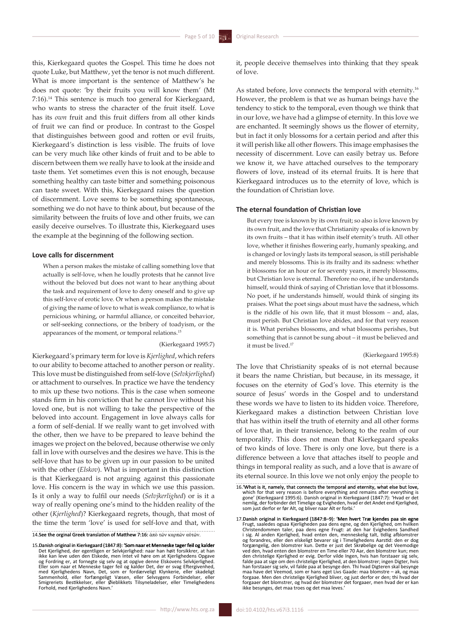this, Kierkegaard quotes the Gospel. This time he does not quote Luke, but Matthew, yet the tenor is not much different. What is more important is the sentence of Matthew's he does not quote: 'by their fruits you will know them' (Mt 7:16).14 This sentence is much too general for Kierkegaard, who wants to stress the character of the fruit itself. Love has its *own* fruit and this fruit differs from all other kinds of fruit we can find or produce. In contrast to the Gospel that distinguishes between good and rotten or evil fruits, Kierkegaard's distinction is less visible. The fruits of love can be very much like other kinds of fruit and to be able to discern between them we really have to look at the inside and taste them. Yet sometimes even this is not enough, because something healthy can taste bitter and something poisonous can taste sweet. With this, Kierkegaard raises the question of discernment. Love seems to be something spontaneous, something we do not have to think about, but because of the similarity between the fruits of love and other fruits, we can easily deceive ourselves. To illustrate this, Kierkegaard uses the example at the beginning of the following section.

#### **Love calls for discernment**

When a person makes the mistake of calling something love that actually is self-love, when he loudly protests that he cannot live without the beloved but does not want to hear anything about the task and requirement of love to deny oneself and to give up this self-love of erotic love. Or when a person makes the mistake of giving the name of love to what is weak compliance, to what is pernicious whining, or harmful alliance, or conceited behavior, or self-seeking connections, or the bribery of toadyism, or the appearances of the moment, or temporal relations.15

#### (Kierkegaard 1995:7)

Kierkegaard's primary term for love is *Kjerlighed*, which refers to our ability to become attached to another person or reality. This love must be distinguished from self-love (*Selvkjerlighed*) or attachment to ourselves. In practice we have the tendency to mix up these two notions. This is the case when someone stands firm in his conviction that he cannot live without his loved one, but is not willing to take the perspective of the beloved into account. Engagement in love always calls for a form of self-denial. If we really want to get involved with the other, then we have to be prepared to leave behind the images we project on the beloved, because otherwise we only fall in love with ourselves and the desires we have. This is the self-love that has to be given up in our passion to be united with the other (*Elskov*). What is important in this distinction is that Kierkegaard is not arguing against this passionate love. His concern is the way in which we use this passion. Is it only a way to fulfil our needs (*Selvjkerlighed*) or is it a way of really opening one's mind to the hidden reality of the other (*Kjerlighed*)? Kierkegaard regrets, though, that most of the time the term 'love' is used for self-love and that, with

.See the orginal Greek translation of Matthew 7:16: ἀπὸ τῶν καρπῶν αῦτῶν.

15. Danish original in Kierkegaard (1847:8): 'Som naar et Menneske tager feil og kalder Det Kjerlighed, der egentligen er Selvkjerlighed: naar han høit forsikkrer, at han<br>ikke kan leve uden den Elskede, men Intet vil høre om at Kjerlighedens Opgave<br>og Fordring er, at fornegte sig selv og at opgive denne Elsko Eller som naar et Menneske tager feil og kalder Det, der er svag Eftergivenhed,<br>med Kjerlighedens Navn, Det, som er fordærveligt Klynkerie, eller skadeligt<br>Sammenhold, eller forfængeligt Væsen, eller Selvsygens Forbindelse Smigreriets Bestikkelser, eller Øieblikkets Tilsyneladelser, eller Timelighedens Forhold, med Kjerlighedens Navn.'

it, people deceive themselves into thinking that they speak of love.

As stated before, love connects the temporal with eternity.<sup>16</sup> However, the problem is that we as human beings have the tendency to stick to the temporal, even though we think that in our love, we have had a glimpse of eternity. In this love we are enchanted. It seemingly shows us the flower of eternity, but in fact it only blossoms for a certain period and after this it will perish like all other flowers. This image emphasises the necessity of discernment. Love can easily betray us. Before we know it, we have attached ourselves to the temporary flowers of love, instead of its eternal fruits. It is here that Kierkegaard introduces us to the eternity of love, which is the foundation of Christian love.

#### **The eternal foundation of Christian love**

But every tree is known by its own fruit; so also is love known by its own fruit, and the love that Christianity speaks of is known by its own fruits – that it has within itself eternity's truth. All other love, whether it finishes flowering early, humanly speaking, and is changed or lovingly lasts its temporal season, is still perishable and merely blossoms. This is its frailty and its sadness: whether it blossoms for an hour or for seventy years, it merely blossoms, but Christian love is eternal. Therefore no one, if he understands himself, would think of saying of Christian love that it blossoms. No poet, if he understands himself, would think of singing its praises. What the poet sings about must have the sadness, which is the riddle of his own life, that it must blossom – and, alas, must perish. But Christian love abides, and for that very reason it is. What perishes blossoms, and what blossoms perishes, but something that is cannot be sung about – it must be believed and it must be lived.17

#### (Kierkegaard 1995:8)

The love that Christianity speaks of is not eternal because it bears the name Christian, but because, in its message, it focuses on the eternity of God's love. This eternity is the source of Jesus' words in the Gospel and to understand these words we have to listen to its hidden voice. Therefore, Kierkegaard makes a distinction between Christian love that has within itself the truth of eternity and all other forms of love that, in their transience, belong to the realm of our temporality. This does not mean that Kierkegaard speaks of two kinds of love. There is only one love, but there is a difference between a love that attaches itself to people and things in temporal reality as such, and a love that is aware of its eternal source. In this love we not only enjoy the people to

.'What is it, namely, that connects the temporal and eternity, what else but love, which for that very reason is before everything and remains after everything is gone' (Kierkegaard 1995:6). Danish original in Kierkegaard (1847:7): 'Hvad er det nemlig, der forbinder det Timelige og Evigheden, hvad er det Andet end Kjerlighed, som just derfor er før Alt, og bliver naar Alt er forbi.'

17. Danish original in Kierkegaard (1847:8-9): 'Men hvert Træ kjendes paa sin egne Frugt, saaledes ogsaa Kjerligheden paa dens egne, og den Kjerlighed, om hvilken Christendommen taler, paa dens egne Frugt: at den har Evighedens Sandhed i sig. Al anden Kjerlighed, hvad enten den, menneskelig talt, tidlig afblomstrer<br>og forandres, eller den elskeligt bevarer sig i Timelighedens Aarstid: den er dog<br>forgængelig, den blomstrer kun. Dette er just det Skrøbelig den christelige Kjerlighed er evig. Derfor vilde Ingen, hvis han forstaaer sig selv,<br>falde paa at sige om den christelige Kjerlighed, at den blomstrer; ingen Digter, hvis han forstaaer sig selv, vil falde paa at besynge den. Thi hvad Digteren skal besynge<br>maa have det Veemod, som er hans eget Livs Gaade: maa blomstre – ak, og maa<br>forgaae. Men den christelige Kjerlighed bliver, og just derfo forgaaer det blomstrer, og hvad der blomstrer det forgaaer, men hvad der er kan ikke besynges, det maa troes og det maa leves.'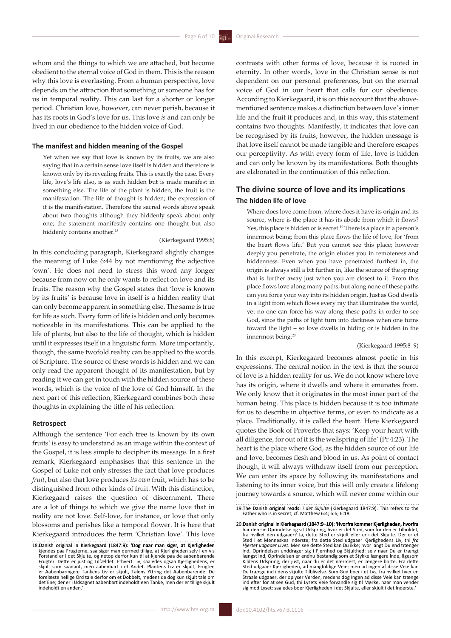whom and the things to which we are attached, but become obedient to the eternal voice of God in them. This is the reason why this love is everlasting. From a human perspective, love depends on the attraction that something or someone has for us in temporal reality. This can last for a shorter or longer period. Christian love, however, can never perish, because it has its roots in God's love for us. This love *is* and can only be lived in our obedience to the hidden voice of God.

#### **The manifest and hidden meaning of the Gospel**

Yet when we say that love is known by its fruits, we are also saying that in a certain sense love itself is hidden and therefore is known only by its revealing fruits. This is exactly the case. Every life, love's life also, is as such hidden but is made manifest in something else. The life of the plant is hidden; the fruit is the manifestation. The life of thought is hidden; the expression of it is the manifestation. Therefore the sacred words above speak about two thoughts although they hiddenly speak about only one; the statement manifestly contains one thought but also hiddenly contains another.<sup>18</sup>

#### (Kierkegaard 1995:8)

In this concluding paragraph, Kierkegaard slightly changes the meaning of Luke 6:44 by not mentioning the adjective 'own'. He does not need to stress this word any longer because from now on he only wants to reflect on love and its fruits. The reason why the Gospel states that 'love is known by its fruits' is because love in itself is a hidden reality that can only become apparent in something else. The same is true for life as such. Every form of life is hidden and only becomes noticeable in its manifestations. This can be applied to the life of plants, but also to the life of thought, which is hidden until it expresses itself in a linguistic form. More importantly, though, the same twofold reality can be applied to the words of Scripture. The source of these words is hidden and we can only read the apparent thought of its manifestation, but by reading it we can get in touch with the hidden source of these words, which is the voice of the love of God himself. In the next part of this reflection, Kierkegaard combines both these thoughts in explaining the title of his reflection.

#### **Retrospect**

Although the sentence 'For each tree is known by its own fruits' is easy to understand as an image within the context of the Gospel, it is less simple to decipher its message. In a first remark, Kierkegaard emphasises that this sentence in the Gospel of Luke not only stresses the fact that love produces *fruit*, but also that love produces *its own* fruit, which has to be distinguished from other kinds of fruit. With this distinction, Kierkegaard raises the question of discernment. There are a lot of things to which we give the name love that in reality are not love. Self-love, for instance, or love that only blossoms and perishes like a temporal flower. It is here that Kierkegaard introduces the term 'Christian love'. This love

Danish original in Kierkegaard (1847:9): 'Dog naar man siger, at Kjerligheden.<br>kjendes paa Frugterne, saa siger man dermed tillige, at Kjerligheden selv i en vis<br>Forstand er i det Skjulte, og netop derfor kun til at kjende skjult som saadant, men aabenbart i et Andet. Plantens Liv er skjult, Frugten<br>er Aabenbaringen; Tankens Liv er skjult, Talens Yttring det Aabenbarende. De<br>forelæste hellige Ord tale derfor om et Dobbelt, medens de dog kun det Ene; der er i Udsagnet aabenbart indeholdt een Tanke, men der er tillige skjult indeholdt en anden.'

contrasts with other forms of love, because it is rooted in eternity. In other words, love in the Christian sense is not dependent on our personal preferences, but on the eternal voice of God in our heart that calls for our obedience. According to Kierkegaard, it is on this account that the abovementioned sentence makes a distinction between love's inner life and the fruit it produces and, in this way, this statement contains two thoughts. Manifestly, it indicates that love can be recognised by its fruits; however, the hidden message is that love itself cannot be made tangible and therefore escapes our perceptivity. As with every form of life, love is hidden and can only be known by its manifestations. Both thoughts are elaborated in the continuation of this reflection.

### **The divine source of love and its implications The hidden life of love**

Where does love come from, where does it have its origin and its source, where is the place it has its abode from which it flows? Yes, this place is hidden or is secret.<sup>19</sup> There is a place in a person's innermost being; from this place flows the life of love, for 'from the heart flows life.' But you cannot see this place; however deeply you penetrate, the origin eludes you in remoteness and hiddenness. Even when you have penetrated furthest in, the origin is always still a bit further in, like the source of the spring that is further away just when you are closest to it. From this place flows love along many paths, but along none of these paths can you force your way into its hidden origin. Just as God dwells in a light from which flows every ray that illuminates the world, yet no one can force his way along these paths in order to see God, since the paths of light turn into darkness when one turns toward the light – so love dwells in hiding or is hidden in the innermost being.20

#### (Kierkegaard 1995:8–9)

In this excerpt, Kierkegaard becomes almost poetic in his expressions. The central notion in the text is that the source of love is a hidden reality for us. We do not know where love has its origin, where it dwells and where it emanates from. We only know that it originates in the most inner part of the human being. This place is hidden because it is too intimate for us to describe in objective terms, or even to indicate as a place. Traditionally, it is called the heart. Here Kierkegaard quotes the Book of Proverbs that says: 'Keep your heart with all diligence, for out of it is the wellspring of life' (Pr 4:23). The heart is the place where God, as the hidden source of our life and love, becomes flesh and blood in us. As point of contact though, it will always withdraw itself from our perception. We can enter its space by following its manifestations and listening to its inner voice, but this will only create a lifelong journey towards a source, which will never come within our

<sup>.</sup>The Danish original reads: *i det Skjulte* (Kierkegaard 1847:9). This refers to the Father who is in secret, cf. Matthew 6:4; 6:6; 6:18.

Danish original in Kierkegaard (1847:9-10): 'Hvorfra kommer Kjerligheden, hvorfra<br>har den sin Oprindelse og sit Udspring, hvor er det Sted, som for den er Tilholdet, fra hvilket den udgaaer? Ja, dette Sted er skjult eller er i det Skjulte. Der er et<br>Sted i et Menneskes Inderste; fra dette Sted udgaaer Kjerlighedens Liv, thi *fra*<br>*Hjertet udgaaer Livet.* Men see dette Sted kan Du ikke; ind, Oprindelsen unddrager sig i Fjernhed og Skjulthed; selv naar Du er trængt længst ind, Oprindelsen er endnu bestandig som et Stykke længere inde, ligesom Kildens Udspring, der just, naar du er det nærmest, er længere borte. Fra dette Sted udgaaer Kjerligheden, ad mangfoldige Veie; men ad ingen af disse Veie kan Du trænge ind i dens skjulte Tilblivelse. Som Gud boer i et Lys, fra hvilket hver en Straale udgaaer, der oplyser Verden, medens dog Ingen ad disse Veie kan trænge ind efter for at see Gud, thi Lysets Veie forvandle sig til Mørke, naar man vender sig mod Lyset: saaledes boer Kjerligheden i det Skjulte, eller skjult i det Inderste.'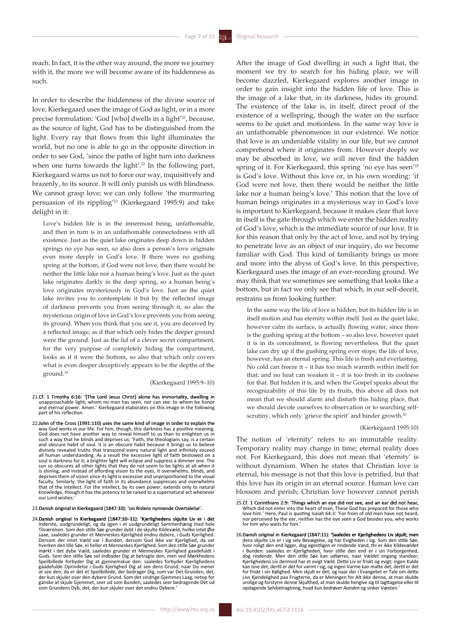reach. In fact, it is the other way around, the more we journey with it, the more we will become aware of its hiddenness as such.

In order to describe the hiddenness of the divine source of love, Kierkegaard uses the image of God as light, or in a more precise formulation: 'God [who] dwells in a light<sup>'21</sup>, because, as the source of light, God has to be distinguished from the light. Every ray that flows from this light illuminates the world, but no one is able to go in the opposite direction in order to see God, 'since the paths of light turn into darkness when one turns towards the light'.<sup>22</sup> In the following part, Kierkegaard warns us not to force our way, inquisitively and brazenly, to its source. It will only punish us with blindness. We cannot grasp love; we can only follow 'the murmuring persuasion of its rippling'23 (Kierkegaard 1995:9) and take delight in it:

Love's hidden life is in the innermost being, unfathomable, and then in turn is in an unfathomable connectedness with all existence. Just as the quiet lake originates deep down in hidden springs no eye has seen, so also does a person's love originate even more deeply in God's love. If there were no gushing spring at the bottom, if God were not love, then there would be neither the little lake nor a human being's love. Just as the quiet lake originates darkly in the deep spring, so a human being's love originates mysteriously in God's love. Just as the quiet lake invites you to contemplate it but by the reflected image of darkness prevents you from seeing through it, so also the mysterious origin of love in God's love prevents you from seeing its ground. When you think that you see it, you are deceived by a reflected image, as if that which only hides the deeper ground were the ground. Just as the lid of a clever secret compartment, for the very purpose of completely hiding the compartment, looks as if it were the bottom, so also that which only covers what is even deeper deceptively appears to be the depths of the ground.24

#### (Kierkegaard 1995:9–10)

- .Cf. 1 Timothy 6:16: '[The Lord Jesus Christ] alone has immortality, dwelling in unapproachable light; whom no man has seen, nor can see: to whom be honor and eternal power. Amen.' Kierkegaard elaborates on this image in the following part of his reflection.
- 22.John of the Cross (1991:110) uses the same kind of image in order to explain the way God works in our life. For him, though, this darkness has a positive meaning. God does not have another way to reveal himself to us than to enlighten us in such a way that he blinds and deprives us: 'Faith, the theologians say, is a certain and obscure habit of soul. It is an obscure habit because it brings us to believe divinely revealed truths that transcend every natural light and infinitely exceed all human understanding. As a result the excessive light of faith bestowed on a soul is darkness for it; a brighter light will eclipse and suppress a dimmer one. The sun so obscures all other lights that they do not seem to be lights at all when it is shining, and instead of affording vision to the eyes, it overwhelms, blinds, and deprives them of vision since its light is excessive and unproportioned to the visual faculty. Similarly, the light of faith in its abundance suppresses and overwhelms that of the intellect. For the intellect, by its own power, extends only to natural knowledge, though it has the potency to be raised to a supernatural act whenever our Lord wishes.'

#### 23. Danish original in Kierkegaard (1847:10): 'sin Rislens nynnende Overtalelse'.

24. Danish original in Kierkegaard (1847:10-11): 'Kjerlighedens skjulte Liv er i det Inderste, uudgrundeligt, og da igjen i et uudgrundeligt Sammenhæng med hele Tilværelsen. Som den stille Søe grunder dybt i de skjulte Kildevæld, hvilke intet Øie saae, saaledes grunder et Menneskes Kjerlighed endnu dybere, i Guds Kjerlighed.<br>Dersom der intet Væld var i Bunden, dersom Gud ikke var Kjerlighed, da var<br>hverken den lille Søe, ei heller et Menneskes Kjerlighed. Som den s mørkt i det dybe Væld, saaledes grunder et Menneskes Kjerlighed gaadefuldt i Guds. Som den stille Søe vel indbyder Dig at betragte den, men ved Mørkhedens Speilbillede forbyder Dig at gjennemskue den: saaledes forbyder Kjerlighedens gaadefulde Oprindelse i Guds Kjerlighed Dig at see dens Grund; naar Du mener<br>at see den, da er det et Speilbillede, der bedrager Dig, som var Det Grunden, det,<br>der kun skjuler over den dybere Grund. Som det sindrige Gjemme som Grundens Dyb, det, der kun skjuler over det endnu Dybere.'

moment we try to search for his hiding place, we will become dazzled, Kierkegaard explores another image in order to gain insight into the hidden life of love. This is the image of a lake that, in its darkness, hides its ground. The existence of the lake is, in itself, direct proof of the existence of a wellspring, though the water on the surface seems to be quiet and motionless. In the same way love is an unfathomable phenomenon in our existence. We notice that love is an undeniable vitality in our life, but we cannot comprehend where it originates from. However deeply we may be absorbed in love, we will never find the hidden spring of it. For Kierkegaard, this spring 'no eye has seen'25 is God's love. Without this love or, in his own wording: 'if God were not love, then there would be neither the little lake nor a human being's love.' This notion that the love of human beings originates in a mysterious way in God's love is important to Kierkegaard, because it makes clear that love in itself is the gate through which we enter the hidden reality of God's love, which is the immediate source of our love. It is for this reason that only by the act of love, and not by trying to penetrate love as an object of our inquiry, do we become familiar with God. This kind of familiarity brings us more and more into the abyss of God's love. In this perspective, Kierkegaard uses the image of an ever-receding ground. We may think that we sometimes see something that looks like a bottom, but in fact we only see that which, in our self-deceit, restrains us from looking further:

After the image of God dwelling in such a light that, the

In the same way the life of love is hidden, but its hidden life is in itself motion and has eternity within itself. Just as the quiet lake, however calm its surface, is actually flowing water, since there is the gushing spring at the bottom – so also love, however quiet it is in its concealment, is flowing nevertheless. But the quiet lake can dry up if the gushing spring ever stops; the life of love, however, has an eternal spring. This life is fresh and everlasting. No cold can freeze it – it has too much warmth within itself for that; and no heat can weaken it – it is too fresh in its coolness for that. But hidden it is, and when the Gospel speaks about the recognizability of this life by its fruits, this above all does not mean that we should alarm and disturb this hiding place, that we should devote ourselves to observation or to searching selfscrutiny, which only 'grieve the spirit' and hinder growth.<sup>26</sup>

#### (Kierkegaard 1995:10)

The notion of 'eternity' refers to an immutable reality. Temporary reality may change in time; eternal reality does not. For Kierkegaard, this does not mean that 'eternity' is without dynamism. When he states that Christian love is eternal, his message is not that this love is petrified, but that this love has its origin in an eternal source. Human love can blossom and perish; Christian love however cannot perish

<sup>.</sup>Cf. 1 Corinthians 2:9: 'Things which an eye did not see, and an ear did not hear,<br>Which did not enter into the heart of man, These God has prepared for those who<br>love him.' Here, Paul is quoting Isaiah 64:3: 'For from of nor perceived by the ear, neither has the eye seen a God besides you, who works for him who waits for him.

<sup>26.</sup>Danish original in Kierkegaard (1847:11): 'Saaledes er Kjerlighedens Liv skjult; men dens skjulte Liv er i sig selv Bevægelse, og har Evigheden i sig. Som den stille Søe, hvor roligt den end ligger, dog egentligen er rindende Vand, thi er ikke Kildevældet i Bunden: saaledes er Kjerligheden, hvor stille den kan isne det, dertil er det for varmt i sig, og ingen Varme kan matte det, dertil er det<br>for friskt i sin Kølighed. Men skjult er det; og naar der i Evangeliet er Tale om dette<br>Livs Kjendelighed paa Frugterne, da er Mening urolige og forstyrre denne Skjulthed, at man skulde hengive sig til Iagttagelse eller til opdagende Selvbetragtning, hvad kun *bedrøver Aanden* og sinker Væxten.'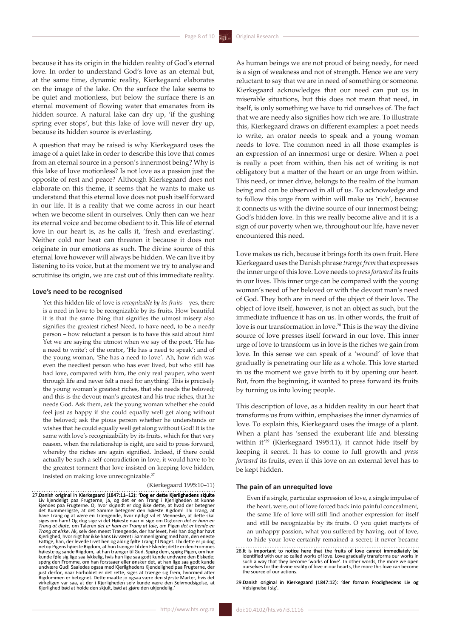because it has its origin in the hidden reality of God's eternal love. In order to understand God's love as an eternal but, at the same time, dynamic reality, Kierkegaard elaborates on the image of the lake. On the surface the lake seems to be quiet and motionless, but below the surface there is an eternal movement of flowing water that emanates from its hidden source. A natural lake can dry up, 'if the gushing spring ever stops', but this lake of love will never dry up, because its hidden source is everlasting.

A question that may be raised is why Kierkegaard uses the image of a quiet lake in order to describe this love that comes from an eternal source in a person's innermost being? Why is this lake of love motionless? Is not love as a passion just the opposite of rest and peace? Although Kierkegaard does not elaborate on this theme, it seems that he wants to make us understand that this eternal love does not push itself forward in our life. It is a reality that we come across in our heart when we become silent in ourselves. Only then can we hear its eternal voice and become obedient to it. This life of eternal love in our heart is, as he calls it, 'fresh and everlasting'. Neither cold nor heat can threaten it because it does not originate in our emotions as such. The divine source of this eternal love however will always be hidden. We can live it by listening to its voice, but at the moment we try to analyse and scrutinise its origin, we are cast out of this immediate reality.

#### **Love's need to be recognised**

Yet this hidden life of love is *recognizable by its fruits* – yes, there is a need in love to be recognizable by its fruits. How beautiful it is that the same thing that signifies the utmost misery also signifies the greatest riches! Need, to have need, to be a needy person – how reluctant a person is to have this said about him! Yet we are saying the utmost when we say of the poet, 'He has a need to write'; of the orator, 'He has a need to speak'; and of the young woman, 'She has a need to love'. Ah, how rich was even the neediest person who has ever lived, but who still has had love, compared with him, the only real pauper, who went through life and never felt a need for anything! This is precisely the young woman's greatest riches, that she needs the beloved; and this is the devout man's greatest and his true riches, that he needs God. Ask them, ask the young woman whether she could feel just as happy if she could equally well get along without the beloved; ask the pious person whether he understands or wishes that he could equally well get along without God! It is the same with love's recognizability by its fruits, which for that very reason, when the relationship is right, are said to press forward, whereby the riches are again signified. Indeed, if there could actually be such a self-contradiction in love, it would have to be the greatest torment that love insisted on keeping love hidden, insisted on making love unrecognizable.<sup>27</sup>

#### (Kierkegaard 1995:10–11)

Danish original in Kierkegaard (1847:11–12): 'Dog er dette Kjerlighedens skjulte<br>Liv kjendeligt paa Frugterne, ja, og det er en Trang i Kjerligheden at kunne<br>kjendes paa Frugterne. O, hvor skjøndt er dog ikke dette, at hva have Trang og at være en Trængende, hvor nødigt vil et Menneske, at dette skal<br>siges om ham! Og dog sige vi det Høieste naar vi sige om Digteren *det er ham en<br>Trang at digte, o*m Taleren *det er ham en Trang at tale*, om Fattige, han, der levede Livet hen og aldrig følte Trang til Noget. Thi dette er jo dog netop Pigens høieste Rigdom, at hun trænger til den Elskede; dette er den Frommes høieste og sande Riigdom, at han trænger til Gud. Spørg dem, spørg Pigen, om hun kunde føle sig lige saa lykkelig, hvis hun lige saa godt kunde undvære den Elskede;<br>spørg den Fromme, om han forstaare eller ønsker det, at han lige saa godt kunde<br>undvære Gudl Saaledes ogsaa med Kjerlighedens Kjendelighed Kjerlighed bød at holde den skjult, bød at gjøre den ukjendelig.'

As human beings we are not proud of being needy, for need is a sign of weakness and not of strength. Hence we are very reluctant to say that we are in need of something or someone. Kierkegaard acknowledges that our need can put us in miserable situations, but this does not mean that need, in itself, is only something we have to rid ourselves of. The fact that we are needy also signifies how rich we are. To illustrate this, Kierkegaard draws on different examples: a poet needs to write, an orator needs to speak and a young woman needs to love. The common need in all those examples is an expression of an innermost urge or desire. When a poet is really a poet from within, then his act of writing is not obligatory but a matter of the heart or an urge from within. This need, or inner drive, belongs to the realm of the human being and can be observed in all of us. To acknowledge and to follow this urge from within will make us 'rich', because it connects us with the divine source of our innermost being: God's hidden love. In this we really become alive and it is a sign of our poverty when we, throughout our life, have never encountered this need.

Love makes us rich, because it brings forth its own fruit. Here Kierkegaard uses the Danish phrase *trænge frem* that expresses the inner urge of this love. Love needs to *press forward* its fruits in our lives. This inner urge can be compared with the young woman's need of her beloved or with the devout man's need of God. They both are in need of the object of their love. The object of love itself, however, is not an object as such, but the immediate influence it has on us. In other words, the fruit of love is our transformation in love.28 This is the way the divine source of love presses itself forward in our love. This inner urge of love to transform us in love is the riches we gain from love. In this sense we can speak of a 'wound' of love that gradually is penetrating our life as a whole. This love started in us the moment we gave birth to it by opening our heart. But, from the beginning, it wanted to press forward its fruits by turning us into loving people.

This description of love, as a hidden reality in our heart that transforms us from within, emphasises the inner dynamics of love. To explain this, Kierkegaard uses the image of a plant. When a plant has 'sensed the exuberant life and blessing within it'29 (Kierkegaard 1995:11), it cannot hide itself by keeping it secret. It has to come to full growth and *press forward* its fruits, even if this love on an external level has to be kept hidden.

#### **The pain of an unrequited love**

Even if a single, particular expression of love, a single impulse of the heart, were, out of love forced back into painful concealment, the same life of love will still find another expression for itself and still be recognizable by its fruits. O you quiet martyrs of an unhappy passion, what you suffered by having, out of love, to hide your love certainly remained a secret; it never became

28.It is important to notice here that the fruits of love cannot immediately be identified with our so called works of love. Love gradually transforms our works in such a way that they become 'works of love'. In other words, the more we open ourselves for the divine reality of love in our hearts, the more this love can become the source of our actions.

29.Danish original in Kierkegaard (1847:12): 'der fornam Frodighedens Liv og Velsignelse i sig'.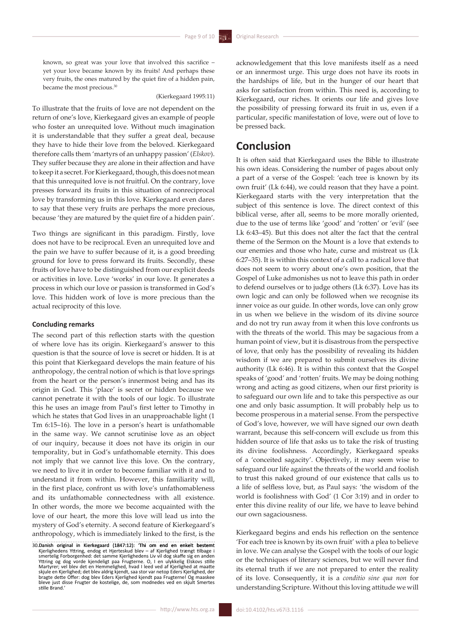known, so great was your love that involved this sacrifice – yet your love became known by its fruits! And perhaps these very fruits, the ones matured by the quiet fire of a hidden pain, became the most precious.<sup>30</sup>

#### (Kierkegaard 1995:11)

To illustrate that the fruits of love are not dependent on the return of one's love, Kierkegaard gives an example of people who foster an unrequited love. Without much imagination it is understandable that they suffer a great deal, because they have to hide their love from the beloved. Kierkegaard therefore calls them 'martyrs of an unhappy passion' (*Elskov*). They suffer because they are alone in their affection and have to keep it a secret. For Kierkegaard, though, this does not mean that this unrequited love is not fruitful. On the contrary, love presses forward its fruits in this situation of nonreciprocal love by transforming us in this love. Kierkegaard even dares to say that these very fruits are perhaps the more precious, because 'they are matured by the quiet fire of a hidden pain'.

Two things are significant in this paradigm. Firstly, love does not have to be reciprocal. Even an unrequited love and the pain we have to suffer because of it, is a good breeding ground for love to press forward its fruits. Secondly, these fruits of love have to be distinguished from our explicit deeds or activities in love. Love 'works' in our love. It generates a process in which our love or passion is transformed in God's love. This hidden work of love is more precious than the actual reciprocity of this love.

#### **Concluding remarks**

The second part of this reflection starts with the question of where love has its origin. Kierkegaard's answer to this question is that the source of love is secret or hidden. It is at this point that Kierkegaard develops the main feature of his anthropology, the central notion of which is that love springs from the heart or the person's innermost being and has its origin in God. This 'place' is secret or hidden because we cannot penetrate it with the tools of our logic. To illustrate this he uses an image from Paul's first letter to Timothy in which he states that God lives in an unapproachable light (1 Tm 6:15–16). The love in a person's heart is unfathomable in the same way. We cannot scrutinise love as an object of our inquiry, because it does not have its origin in our temporality, but in God's unfathomable eternity. This does not imply that we cannot live this love. On the contrary, we need to live it in order to become familiar with it and to understand it from within. However, this familiarity will, in the first place, confront us with love's unfathomableness and its unfathomable connectedness with all existence. In other words, the more we become acquainted with the love of our heart, the more this love will lead us into the mystery of God's eternity. A second feature of Kierkegaard's anthropology, which is immediately linked to the first, is the

.Danish original in Kierkegaard (1847:12): ' Kjerlighedens Yttring, endog et Hjerteskud blev – af Kjerlighed trængt tilbage i<br>smertelig Forborgenhed: det samme Kjerlighedens Liv vil dog skaffe sig en anden<br>Yttring og dog vorde kjendeligt paa Frugterne. O, I en ulykke Martyrer; vel blev det en Hemmelighed, hvad I leed ved af Kjerlighed at maatte<br>skjule en Kjerlighed; det blev aldrig kjendt, saa stor var netop Eders Kjerlighed, der<br>bragte dette Offer: dog blev Eders Kjerlighed kjendt paa bleve just disse Frugter de kostelige, de, som modnedes ved en skjult Smertes stille Brand.'

acknowledgement that this love manifests itself as a need or an innermost urge. This urge does not have its roots in the hardships of life, but in the hunger of our heart that asks for satisfaction from within. This need is, according to Kierkegaard, our riches. It orients our life and gives love the possibility of pressing forward its fruit in us, even if a particular, specific manifestation of love, were out of love to be pressed back.

### **Conclusion**

It is often said that Kierkegaard uses the Bible to illustrate his own ideas. Considering the number of pages about only a part of a verse of the Gospel: 'each tree is known by its own fruit' (Lk 6:44), we could reason that they have a point. Kierkegaard starts with the very interpretation that the subject of this sentence is love. The direct context of this biblical verse, after all, seems to be more morally oriented, due to the use of terms like 'good' and 'rotten' or 'evil' (see Lk 6:43–45). But this does not alter the fact that the central theme of the Sermon on the Mount is a love that extends to our enemies and those who hate, curse and mistreat us (Lk 6:27–35). It is within this context of a call to a radical love that does not seem to worry about one's own position, that the Gospel of Luke admonishes us not to leave this path in order to defend ourselves or to judge others (Lk 6:37). Love has its own logic and can only be followed when we recognise its inner voice as our guide. In other words, love can only grow in us when we believe in the wisdom of its divine source and do not try run away from it when this love confronts us with the threats of the world. This may be sagacious from a human point of view, but it is disastrous from the perspective of love, that only has the possibility of revealing its hidden wisdom if we are prepared to submit ourselves its divine authority (Lk 6:46). It is within this context that the Gospel speaks of 'good' and 'rotten' fruits. We may be doing nothing wrong and acting as good citizens, when our first priority is to safeguard our own life and to take this perspective as our one and only basic assumption. It will probably help us to become prosperous in a material sense. From the perspective of God's love, however, we will have signed our own death warrant, because this self-concern will exclude us from this hidden source of life that asks us to take the risk of trusting its divine foolishness. Accordingly, Kierkegaard speaks of a 'conceited sagacity'. Objectively, it may seem wise to safeguard our life against the threats of the world and foolish to trust this naked ground of our existence that calls us to a life of selfless love, but, as Paul says: 'the wisdom of the world is foolishness with God' (1 Cor 3:19) and in order to enter this divine reality of our life, we have to leave behind our own sagaciousness.

Kierkegaard begins and ends his reflection on the sentence 'For each tree is known by its own fruit' with a plea to believe in love. We can analyse the Gospel with the tools of our logic or the techniques of literary sciences, but we will never find its eternal truth if we are not prepared to enter the reality of its love. Consequently, it is a *conditio sine qua non* for understanding Scripture. Without this loving attitude we will